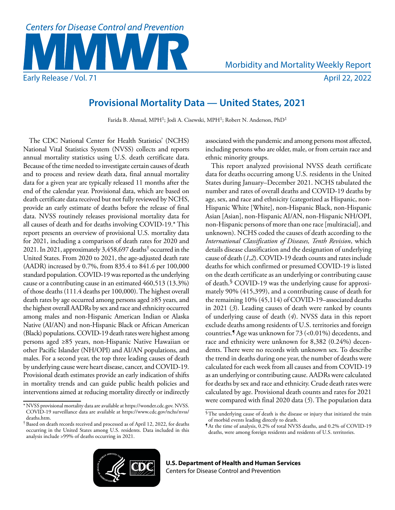

# **Provisional Mortality Data — United States, 2021**

Farida B. Ahmad, MPH<sup>1</sup>; Jodi A. Cisewski, MPH<sup>1</sup>; Robert N. Anderson, PhD<sup>1</sup>

The CDC National Center for Health Statistics' (NCHS) National Vital Statistics System (NVSS) collects and reports annual mortality statistics using U.S. death certificate data. Because of the time needed to investigate certain causes of death and to process and review death data, final annual mortality data for a given year are typically released 11 months after the end of the calendar year. Provisional data, which are based on death certificate data received but not fully reviewed by NCHS, provide an early estimate of deaths before the release of final data. NVSS routinely releases provisional mortality data for all causes of death and for deaths involving COVID-19.\* This report presents an overview of provisional U.S. mortality data for 2021, including a comparison of death rates for 2020 and 2021. In 2021, approximately 3,458,697 deaths† occurred in the United States. From 2020 to 2021, the age-adjusted death rate (AADR) increased by 0.7%, from 835.4 to 841.6 per 100,000 standard population. COVID-19 was reported as the underlying cause or a contributing cause in an estimated 460,513 (13.3%) of those deaths (111.4 deaths per 100,000). The highest overall death rates by age occurred among persons aged ≥85 years, and the highest overall AADRs by sex and race and ethnicity occurred among males and non-Hispanic American Indian or Alaska Native (AI/AN) and non-Hispanic Black or African American (Black) populations. COVID-19 death rates were highest among persons aged ≥85 years, non-Hispanic Native Hawaiian or other Pacific Islander (NH/OPI) and AI/AN populations, and males. For a second year, the top three leading causes of death by underlying cause were heart disease, cancer, and COVID-19. Provisional death estimates provide an early indication of shifts in mortality trends and can guide public health policies and interventions aimed at reducing mortality directly or indirectly associated with the pandemic and among persons most affected, including persons who are older, male, or from certain race and ethnic minority groups.

This report analyzed provisional NVSS death certificate data for deaths occurring among U.S. residents in the United States during January–December 2021. NCHS tabulated the number and rates of overall deaths and COVID-19 deaths by age, sex, and race and ethnicity (categorized as Hispanic, non-Hispanic White [White], non-Hispanic Black, non-Hispanic Asian [Asian], non-Hispanic AI/AN, non-Hispanic NH/OPI, non-Hispanic persons of more than one race [multiracial], and unknown). NCHS coded the causes of death according to the *International Classification of Diseases, Tenth Revision*, which details disease classification and the designation of underlying cause of death (*1*,*2*). COVID-19 death counts and rates include deaths for which confirmed or presumed COVID-19 is listed on the death certificate as an underlying or contributing cause of death.§ COVID-19 was the underlying cause for approximately 90% (415,399), and a contributing cause of death for the remaining 10% (45,114) of COVID-19–associated deaths in 2021 (*3*). Leading causes of death were ranked by counts of underlying cause of death (*4*). NVSS data in this report exclude deaths among residents of U.S. territories and foreign countries.¶ Age was unknown for 73 (<0.01%) decedents, and race and ethnicity were unknown for 8,382 (0.24%) decendents. There were no records with unknown sex. To describe the trend in deaths during one year, the number of deaths were calculated for each week from all causes and from COVID-19 as an underlying or contributing cause. AADRs were calculated for deaths by sex and race and ethnicity. Crude death rates were calculated by age. Provisional death counts and rates for 2021 were compared with final 2020 data (*5*). The population data



<sup>\*</sup>NVSS provisional mortality data are available at<https://wonder.cdc.gov>. NVSS. COVID-19 surveillance data are available at [https://www.cdc.gov/nchs/nvss/](https://www.cdc.gov/nchs/nvss/deaths.htm)

<sup>&</sup>lt;sup>†</sup> Based on death records received and processed as of April 12, 2022, for deaths occurring in the United States among U.S. residents. Data included in this analysis include >99% of deaths occurring in 2021.

<sup>§</sup>The underlying cause of death is the disease or injury that initiated the train of morbid events leading directly to death.

 $\$$  At the time of analysis,  $\bar{0.2\%}$  of total NVSS deaths, and 0.2% of COVID-19 deaths, were among foreign residents and residents of U.S. territories.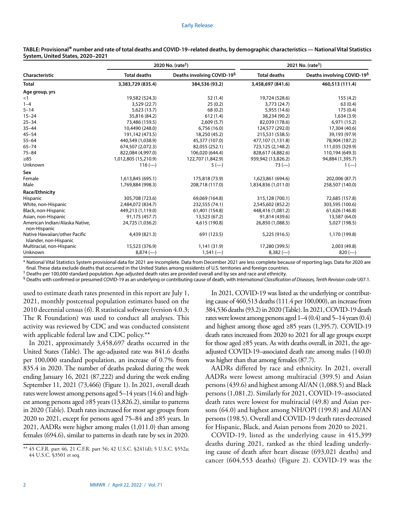| Characteristic                                          | 2020 No. (rate <sup>†</sup> ) |                                        | 2021 No. (rate <sup>†</sup> ) |                                        |
|---------------------------------------------------------|-------------------------------|----------------------------------------|-------------------------------|----------------------------------------|
|                                                         | <b>Total deaths</b>           | Deaths involving COVID-19 <sup>§</sup> | <b>Total deaths</b>           | Deaths involving COVID-19 <sup>§</sup> |
| <b>Total</b>                                            | 3,383,729 (835.4)             | 384,536 (93.2)                         | 3,458,697 (841.6)             | 460,513 (111.4)                        |
| Age group, yrs                                          |                               |                                        |                               |                                        |
| <1                                                      | 19,582 (524.3)                | 52(1.4)                                | 19,724 (528.6)                | 155(4.2)                               |
| $1 - 4$                                                 | 3,529 (22.7)                  | 25(0.2)                                | 3,773 (24.7)                  | 63(0.4)                                |
| $5 - 14$                                                | 5,623 (13.7)                  | 68(0.2)                                | 5,955 (14.6)                  | 175 (0.4)                              |
| $15 - 24$                                               | 35,816 (84.2)                 | 612(1.4)                               | 38,234 (90.2)                 | 1,634(3.9)                             |
| $25 - 34$                                               | 73,486 (159.5)                | 2,609(5.7)                             | 82,039 (178.6)                | 6,971 (15.2)                           |
| $35 - 44$                                               | 10,4490 (248.0)               | 6,756(16.0)                            | 124,577 (292.0)               | 17,304 (40.6)                          |
| $45 - 54$                                               | 191,142 (473.5)               | 18,250 (45.2)                          | 215,531 (538.5)               | 39,193 (97.9)                          |
| $55 - 64$                                               | 440,549 (1,038.9)             | 45,377 (107.0)                         | 477,107 (1,131.8)             | 78,904 (187.2)                         |
| 65–74                                                   | 674,507 (2,072.3)             | 82,055 (252.1)                         | 723,125 (2,148.2)             | 111,035 (329.9)                        |
| 75-84                                                   | 822,084 (4,997.0)             | 106,020 (644.4)                        | 828,617 (4,882.6)             | 110,194 (649.3)                        |
| ≥85                                                     | 1,012,805 (15,210.9)          | 122,707 (1,842.9)                      | 939,942 (13,826.2)            | 94,884 (1,395.7)                       |
| Unknown                                                 | $116 (-)$                     | $5(-)$                                 | $73 (-)$                      | $1(-)$                                 |
| Sex                                                     |                               |                                        |                               |                                        |
| Female                                                  | 1,613,845 (695.1)             | 175,818 (73.9)                         | 1,623,861 (694.6)             | 202,006 (87.7)                         |
| Male                                                    | 1,769,884 (998.3)             | 208,718 (117.0)                        | 1,834,836 (1,011.0)           | 258,507 (140.0)                        |
| Race/Ethnicity                                          |                               |                                        |                               |                                        |
| <b>Hispanic</b>                                         | 305,708 (723.6)               | 69,069 (164.8)                         | 315,128 (700.1)               | 72,685 (157.8)                         |
| White, non-Hispanic                                     | 2,484,072 (834.7)             | 232,555 (74.1)                         | 2,545,602 (852.2)             | 303,595 (100.6)                        |
| Black, non-Hispanic                                     | 449,213 (1,119.0)             | 61,401 (154.8)                         | 448,416 (1,081.2)             | 61,626 (146.8)                         |
| Asian, non-Hispanic                                     | 91,175 (457.7)                | 13,523 (67.2)                          | 91,814 (439.6)                | 13,587 (64.0)                          |
| American Indian/Alaska Native,<br>non-Hispanic          | 24,725 (1,036.2)              | 4,615 (190.8)                          | 26,850 (1,088.5)              | 5,027 (198.5)                          |
| Native Hawaiian/other Pacific<br>Islander, non-Hispanic | 4,439 (821.3)                 | 691 (123.5)                            | 5,225 (916.5)                 | 1,170 (199.8)                          |
| Multiracial, non-Hispanic                               | 15,523 (376.9)                | 1,141 (31.9)                           | 17,280 (399.5)                | 2,003 (49.8)                           |
| Unknown                                                 | $8,874$ (-)                   | $1,541$ (-)                            | $8,382$ (--)                  | $820 (-)$                              |

**TABLE: Provisional\* number and rate of total deaths and COVID-19–related deaths, by demographic characteristics — National Vital Statistics System, United States, 2020–2021**

\* National Vital Statistics System provisional data for 2021 are incomplete. Data from December 2021 are less complete because of reporting lags. Data for 2020 are final. These data exclude deaths that occurred in the United States among residents of U.S. territories and foreign countries.

† Deaths per 100,000 standard population. Age-adjusted death rates are provided overall and by sex and race and ethnicity.

§ Deaths with confirmed or presumed COVID-19 as an underlying or contributing cause of death, with *International Classification of Diseases, Tenth Revision* code U07.1.

used to estimate death rates presented in this report are July 1, 2021, monthly postcensal population estimates based on the 2010 decennial census (*6*). R statistical software (version 4.0.3; The R Foundation) was used to conduct all analyses. This activity was reviewed by CDC and was conducted consistent with applicable federal law and CDC policy.\*\*

In 2021, approximately 3,458,697 deaths occurred in the United States (Table). The age-adjusted rate was 841.6 deaths per 100,000 standard population, an increase of 0.7% from 835.4 in 2020. The number of deaths peaked during the week ending January 16, 2021 (87,222) and during the week ending September 11, 2021 (73,466) (Figure 1). In 2021, overall death rates were lowest among persons aged 5–14 years (14.6) and highest among persons aged  $\geq$ 85 years (13,826.2), similar to patterns in 2020 (Table). Death rates increased for most age groups from 2020 to 2021, except for persons aged 75–84 and ≥85 years. In 2021, AADRs were higher among males (1,011.0) than among females (694.6), similar to patterns in death rate by sex in 2020.

In 2021, COVID-19 was listed as the underlying or contributing cause of 460,513 deaths (111.4 per 100,000), an increase from 384,536 deaths (93.2) in 2020 (Table). In 2021, COVID-19 death rates were lowest among persons aged 1–4 (0.4) and 5–14 years (0.4) and highest among those aged ≥85 years (1,395.7). COVID-19 death rates increased from 2020 to 2021 for all age groups except for those aged ≥85 years. As with deaths overall, in 2021, the ageadjusted COVID-19–associated death rate among males (140.0) was higher than that among females (87.7).

AADRs differed by race and ethnicity. In 2021, overall AADRs were lowest among multiracial (399.5) and Asian persons (439.6) and highest among AI/AN (1,088.5) and Black persons (1,081.2). Similarly for 2021, COVID-19–associated death rates were lowest for multiracial (49.8) and Asian persons (64.0) and highest among NH/OPI (199.8) and AI/AN persons (198.5). Overall and COVID-19 death rates decreased for Hispanic, Black, and Asian persons from 2020 to 2021.

COVID-19, listed as the underlying cause in 415,399 deaths during 2021, ranked as the third leading underlying cause of death after heart disease (693,021 deaths) and cancer (604,553 deaths) (Figure 2). COVID-19 was the

<sup>\*\*</sup> 45 C.F.R. part 46, 21 C.F.R. part 56; 42 U.S.C. §241(d); 5 U.S.C. §552a; 44 U.S.C. §3501 et seq.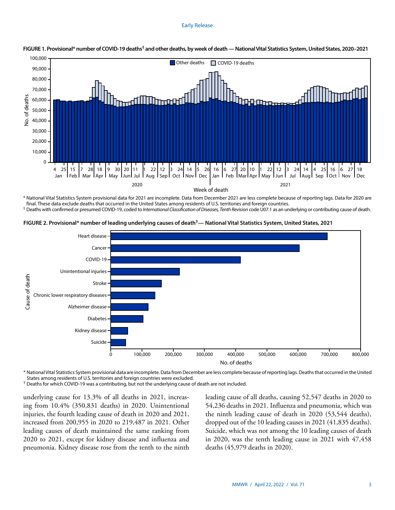# Early Release



# **FIGURE 1. Provisional\* number of COVID-19 deaths† and other deaths, by week of death — National Vital Statistics System, United States, 2020–2021**

\* National Vital Statistics System provisional data for 2021 are incomplete. Data from December 2021 are less complete because of reporting lags. Data for 2020 are final. These data exclude deaths that occurred in the United States among residents of U.S. territories and foreign countries.

† Deaths with confirmed or presumed COVID-19, coded to *International Classification of Diseases, Tenth Revision* code U07.1 as an underlying or contributing cause of death.





\* National Vital Statistics System provisional data are incomplete. Data from December are less complete because of reporting lags. Deaths that occurred in the United States among residents of U.S. territories and foreign countries were excluded.

† Deaths for which COVID-19 was a contributing, but not the underlying cause of death are not included.

underlying cause for 13.3% of all deaths in 2021, increasing from 10.4% (350,831 deaths) in 2020. Unintentional injuries, the fourth leading cause of death in 2020 and 2021, increased from 200,955 in 2020 to 219,487 in 2021. Other leading causes of death maintained the same ranking from 2020 to 2021, except for kidney disease and influenza and pneumonia. Kidney disease rose from the tenth to the ninth leading cause of all deaths, causing 52,547 deaths in 2020 to 54,236 deaths in 2021. Influenza and pneumonia, which was the ninth leading cause of death in 2020 (53,544 deaths), dropped out of the 10 leading causes in 2021 (41,835 deaths). Suicide, which was not among the 10 leading causes of death in 2020, was the tenth leading cause in 2021 with 47,458 deaths (45,979 deaths in 2020).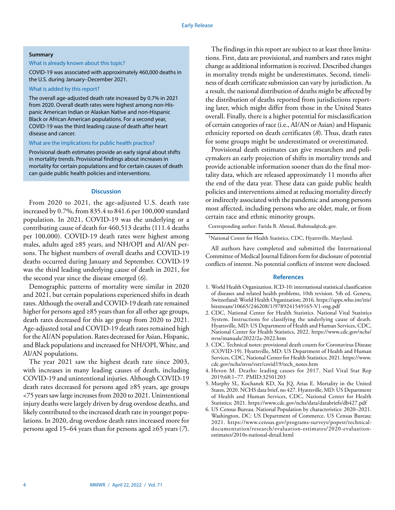# **Summary**

#### What is already known about this topic?

COVID-19 was associated with approximately 460,000 deaths in the U.S. during January–December 2021.

# What is added by this report?

The overall age-adjusted death rate increased by 0.7% in 2021 from 2020. Overall death rates were highest among non-Hispanic American Indian or Alaskan Native and non-Hispanic Black or African American populations. For a second year, COVID-19 was the third leading cause of death after heart disease and cancer.

# What are the implications for public health practice?

Provisional death estimates provide an early signal about shifts in mortality trends. Provisional findings about increases in mortality for certain populations and for certain causes of death can guide public health policies and interventions.

# **Discussion**

From 2020 to 2021, the age-adjusted U.S. death rate increased by 0.7%, from 835.4 to 841.6 per 100,000 standard population. In 2021, COVID-19 was the underlying or a contributing cause of death for 460,513 deaths (111.4 deaths per 100,000). COVID-19 death rates were highest among males, adults aged ≥85 years, and NH/OPI and AI/AN persons. The highest numbers of overall deaths and COVID-19 deaths occurred during January and September. COVID-19 was the third leading underlying cause of death in 2021, for the second year since the disease emerged (*6*).

Demographic patterns of mortality were similar in 2020 and 2021, but certain populations experienced shifts in death rates. Although the overall and COVID-19 death rate remained higher for persons aged ≥85 years than for all other age groups, death rates decreased for this age group from 2020 to 2021. Age-adjusted total and COVID-19 death rates remained high for the AI/AN population. Rates decreased for Asian, Hispanic, and Black populations and increased for NH/OPI, White, and AI/AN populations.

The year 2021 saw the highest death rate since 2003, with increases in many leading causes of death, including COVID-19 and unintentional injuries. Although COVID-19 death rates decreased for persons aged ≥85 years, age groups <75 years saw large increases from 2020 to 2021. Unintentional injury deaths were largely driven by drug overdose deaths, and likely contributed to the increased death rate in younger populations. In 2020, drug overdose death rates increased more for persons aged 15–64 years than for persons aged ≥65 years (*7*).

The findings in this report are subject to at least three limitations. First, data are provisional, and numbers and rates might change as additional information is received. Described changes in mortality trends might be underestimates. Second, timeliness of death certificate submission can vary by jurisdiction. As a result, the national distribution of deaths might be affected by the distribution of deaths reported from jurisdictions reporting later, which might differ from those in the United States overall. Finally, there is a higher potential for misclassification of certain categories of race (i.e., AI/AN or Asian) and Hispanic ethnicity reported on death certificates (*8*). Thus, death rates for some groups might be underestimated or overestimated.

Provisional death estimates can give researchers and policymakers an early projection of shifts in mortality trends and provide actionable information sooner than do the final mortality data, which are released approximately 11 months after the end of the data year. These data can guide public health policies and interventions aimed at reducing mortality directly or indirectly associated with the pandemic and among persons most affected, including persons who are older, male, or from certain race and ethnic minority groups.

Corresponding author: Farida B. Ahmad, [fbahmad@cdc.gov](mailto:fbahmad@cdc.gov).

1National Center for Health Statistics, CDC, Hyattsville, Maryland.

All authors have completed and submitted the International Committee of Medical Journal Editors form for disclosure of potential conflicts of interest. No potential conflicts of interest were disclosed.

# **References**

- 1. World Health Organization. ICD-10: international statistical classification of diseases and related health problems, 10th revision. 5th ed. Geneva, Switzerland: World Health Organization; 2016. [https://apps.who.int/iris/](https://apps.who.int/iris/bitstream/10665/246208/1/9789241549165-V1-eng.pdf) [bitstream/10665/246208/1/9789241549165-V1-eng.pdf](https://apps.who.int/iris/bitstream/10665/246208/1/9789241549165-V1-eng.pdf)
- 2. CDC, National Center for Health Statistics. National Vital Statistics System. Instructions for classifying the underlying cause of death. Hyattsville, MD: US Department of Health and Human Services, CDC, National Center for Health Statistics, 2022. [https://www.cdc.gov/nchs/](https://www.cdc.gov/nchs/nvss/manuals/2022/2a-2022.htm) [nvss/manuals/2022/2a-2022.htm](https://www.cdc.gov/nchs/nvss/manuals/2022/2a-2022.htm)
- 3. CDC. Technical notes: provisional death counts for Coronavirus Disease (COVID-19). Hyattsville, MD: US Department of Health and Human Services, CDC, National Center for Health Statistics; 2021. [https://www.](https://www.cdc.gov/nchs/nvss/vsrr/covid19/tech_notes.htm) [cdc.gov/nchs/nvss/vsrr/covid19/tech\\_notes.htm](https://www.cdc.gov/nchs/nvss/vsrr/covid19/tech_notes.htm)
- 4. Heron M. Deaths: leading causes for 2017. Natl Vital Stat Rep 2019;68:1–77[. PMID:32501203](https://www.ncbi.nlm.nih.gov/entrez/query.fcgi?cmd=Retrieve&db=PubMed&list_uids=32501203&dopt=Abstract)
- 5. Murphy SL, Kochanek KD, Xu JQ, Arias E. Mortality in the United States, 2020. NCHS data brief, no 427. Hyattsville, MD: US Department of Health and Human Services, CDC, National Center for Health Statistics; 2021. <https://www.cdc.gov/nchs/data/databriefs/db427.pdf>
- 6. US Census Bureau. National Population by characteristics: 2020–2021. Washington, DC: US Department of Commerce, US Census Bureau; 2021. [https://www.census.gov/programs-surveys/popest/technical](https://www.census.gov/programs-surveys/popest/technical-documentation/research/evaluation-estimates/2020-evaluation-estimates/2010s-national-detail.html)[documentation/research/evaluation-estimates/2020-evaluation](https://www.census.gov/programs-surveys/popest/technical-documentation/research/evaluation-estimates/2020-evaluation-estimates/2010s-national-detail.html)[estimates/2010s-national-detail.html](https://www.census.gov/programs-surveys/popest/technical-documentation/research/evaluation-estimates/2020-evaluation-estimates/2010s-national-detail.html)